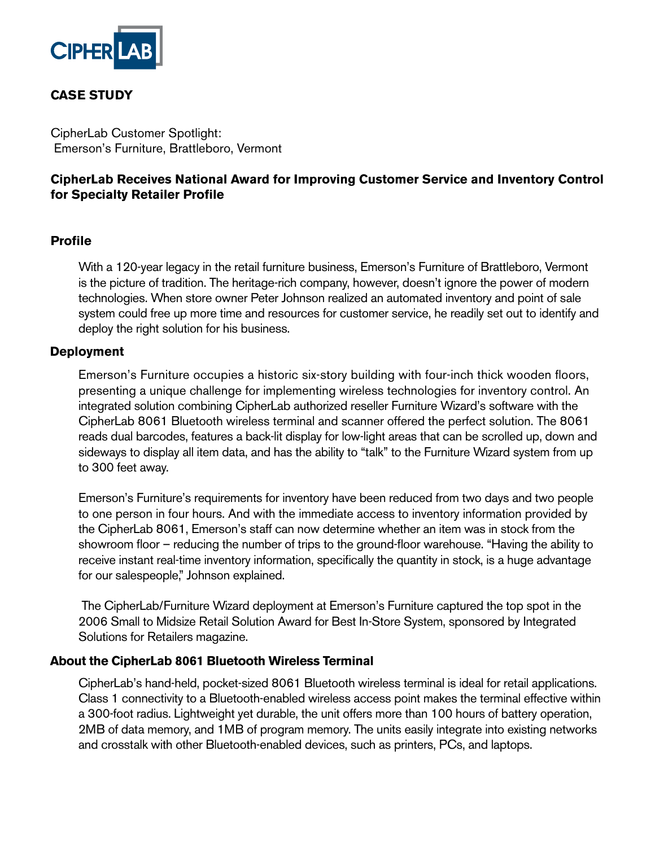

# **CASE STUDY**

CipherLab Customer Spotlight: Emerson's Furniture, Brattleboro, Vermont

## **CipherLab Receives National Award for Improving Customer Service and Inventory Control for Specialty Retailer Profile**

### **Profile**

With a 120-year legacy in the retail furniture business, Emerson's Furniture of Brattleboro, Vermont is the picture of tradition. The heritage-rich company, however, doesn't ignore the power of modern technologies. When store owner Peter Johnson realized an automated inventory and point of sale system could free up more time and resources for customer service, he readily set out to identify and deploy the right solution for his business.

### **Deployment**

Emerson's Furniture occupies a historic six-story building with four-inch thick wooden floors, presenting a unique challenge for implementing wireless technologies for inventory control. An integrated solution combining CipherLab authorized reseller Furniture Wizard's software with the CipherLab 8061 Bluetooth wireless terminal and scanner offered the perfect solution. The 8061 reads dual barcodes, features a back-lit display for low-light areas that can be scrolled up, down and sideways to display all item data, and has the ability to "talk" to the Furniture Wizard system from up to 300 feet away.

Emerson's Furniture's requirements for inventory have been reduced from two days and two people to one person in four hours. And with the immediate access to inventory information provided by the CipherLab 8061, Emerson's staff can now determine whether an item was in stock from the showroom floor – reducing the number of trips to the ground-floor warehouse. "Having the ability to receive instant real-time inventory information, specifically the quantity in stock, is a huge advantage for our salespeople," Johnson explained.

 The CipherLab/Furniture Wizard deployment at Emerson's Furniture captured the top spot in the 2006 Small to Midsize Retail Solution Award for Best In-Store System, sponsored by Integrated Solutions for Retailers magazine.

#### **About the CipherLab 8061 Bluetooth Wireless Terminal**

CipherLab's hand-held, pocket-sized 8061 Bluetooth wireless terminal is ideal for retail applications. Class 1 connectivity to a Bluetooth-enabled wireless access point makes the terminal effective within a 300-foot radius. Lightweight yet durable, the unit offers more than 100 hours of battery operation, 2MB of data memory, and 1MB of program memory. The units easily integrate into existing networks and crosstalk with other Bluetooth-enabled devices, such as printers, PCs, and laptops.